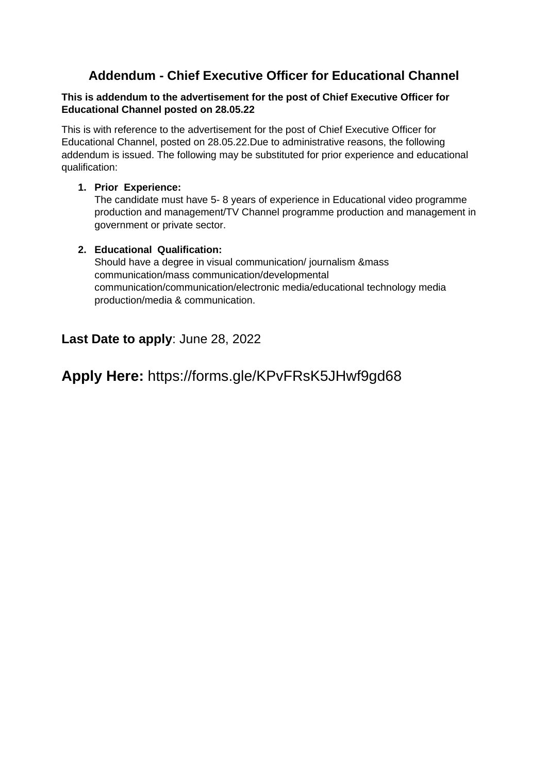## **Addendum - Chief Executive Officer for Educational Channel**

#### **This is addendum to the advertisement for the post of Chief Executive Officer for Educational Channel posted on 28.05.22**

This is with reference to the advertisement for the post of Chief Executive Officer for Educational Channel, posted on 28.05.22.Due to administrative reasons, the following addendum is issued. The following may be substituted for prior experience and educational qualification:

#### **1. Prior Experience:**

The candidate must have 5- 8 years of experience in Educational video programme production and management/TV Channel programme production and management in government or private sector.

#### **2. Educational Qualification:**

Should have a degree in visual communication/ journalism &mass communication/mass communication/developmental communication/communication/electronic media/educational technology media production/media & communication.

## **Last Date to apply**: June 28, 2022

# **Apply Here:** https://forms.gle/KPvFRsK5JHwf9gd68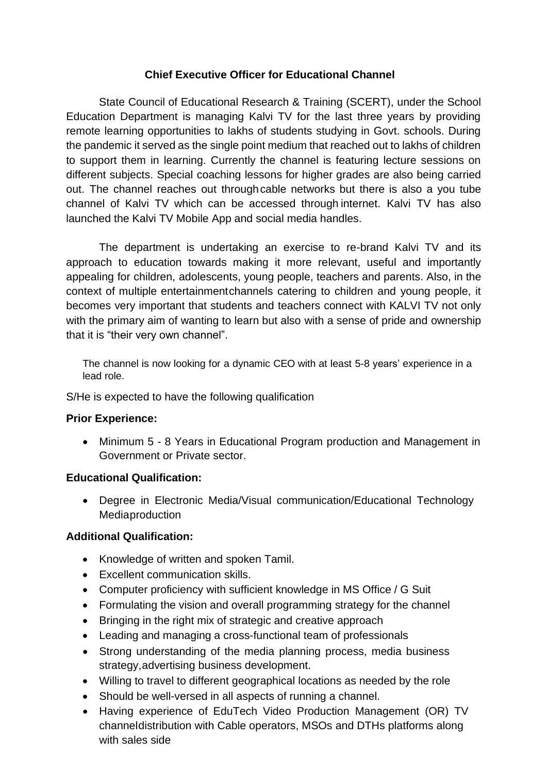### **Chief Executive Officer for Educational Channel**

State Council of Educational Research & Training (SCERT), under the School Education Department is managing Kalvi TV for the last three years by providing remote learning opportunities to lakhs of students studying in Govt. schools. During the pandemic it served as the single point medium that reached out to lakhs of children to support them in learning. Currently the channel is featuring lecture sessions on different subjects. Special coaching lessons for higher grades are also being carried out. The channel reaches out throughcable networks but there is also a you tube channel of Kalvi TV which can be accessed through internet. Kalvi TV has also launched the Kalvi TV Mobile App and social media handles.

The department is undertaking an exercise to re-brand Kalvi TV and its approach to education towards making it more relevant, useful and importantly appealing for children, adolescents, young people, teachers and parents. Also, in the context of multiple entertainmentchannels catering to children and young people, it becomes very important that students and teachers connect with KALVI TV not only with the primary aim of wanting to learn but also with a sense of pride and ownership that it is "their very own channel".

The channel is now looking for a dynamic CEO with at least 5-8 years' experience in a lead role.

S/He is expected to have the following qualification

#### **Prior Experience:**

• Minimum 5 - 8 Years in Educational Program production and Management in Government or Private sector.

## **Educational Qualification:**

• Degree in Electronic Media/Visual communication/Educational Technology Mediaproduction

### **Additional Qualification:**

- Knowledge of written and spoken Tamil.
- Excellent communication skills.
- Computer proficiency with sufficient knowledge in MS Office / G Suit
- Formulating the vision and overall programming strategy for the channel
- Bringing in the right mix of strategic and creative approach
- Leading and managing a cross-functional team of professionals
- Strong understanding of the media planning process, media business strategy,advertising business development.
- Willing to travel to different geographical locations as needed by the role
- Should be well-versed in all aspects of running a channel.
- Having experience of EduTech Video Production Management (OR) TV channeldistribution with Cable operators, MSOs and DTHs platforms along with sales side